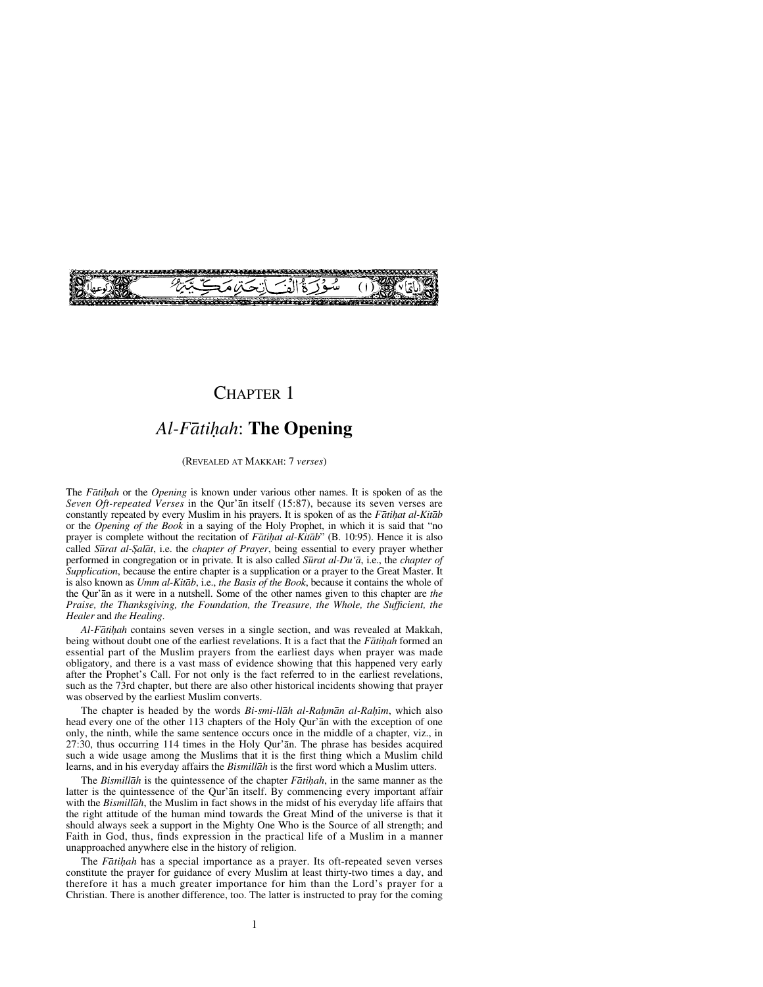

## CHAPTER 1

## *Al-Fåti√ah*: **The Opening**

(REVEALED AT MAKKAH: 7 *verses*)

The *Fåti√ah* or the *Opening* is known under various other names. It is spoken of as the *Seven Oft-repeated Verses* in the Qur'ån itself (15:87), because its seven verses are constantly repeated by every Muslim in his prayers. It is spoken of as the *Fātihat al-Kitāb* or the *Opening of the Book* in a saying of the Holy Prophet, in which it is said that "no prayer is complete without the recitation of *Fātiḥat al-Kitāb*" (B. 10:95). Hence it is also called *S∂rat al-˝alåt*, i.e. the *chapter of Prayer*, being essential to every prayer whether performed in congregation or in private. It is also called *S∂rat al-Du'å*, i.e., the *chapter of Supplication*, because the entire chapter is a supplication or a prayer to the Great Master. It is also known as *Umm al-Kitåb*, i.e., *the Basis of the Book*, because it contains the whole of the Qur'ån as it were in a nutshell. Some of the other names given to this chapter are *the Praise, the Thanksgiving, the Foundation, the Treasure, the Whole, the Sufficient, the Healer* and *the Healing*.

*Al-Fåti√ah* contains seven verses in a single section, and was revealed at Makkah, being without doubt one of the earliest revelations. It is a fact that the *Fātihah* formed an essential part of the Muslim prayers from the earliest days when prayer was made obligatory, and there is a vast mass of evidence showing that this happened very early after the Prophet's Call. For not only is the fact referred to in the earliest revelations, such as the 73rd chapter, but there are also other historical incidents showing that prayer was observed by the earliest Muslim converts.

The chapter is headed by the words *Bi-smi-llāh al-Rahmān al-Rahīm*, which also head every one of the other 113 chapters of the Holy Qur'ån with the exception of one only, the ninth, while the same sentence occurs once in the middle of a chapter, viz., in 27:30, thus occurring 114 times in the Holy Qur'ån. The phrase has besides acquired such a wide usage among the Muslims that it is the first thing which a Muslim child learns, and in his everyday affairs the *Bismillåh* is the first word which a Muslim utters.

The *Bismillah* is the quintessence of the chapter *Fātiḥah*, in the same manner as the latter is the quintessence of the Qur'ån itself. By commencing every important affair with the *Bismillåh*, the Muslim in fact shows in the midst of his everyday life affairs that the right attitude of the human mind towards the Great Mind of the universe is that it should always seek a support in the Mighty One Who is the Source of all strength; and Faith in God, thus, finds expression in the practical life of a Muslim in a manner unapproached anywhere else in the history of religion.

The *Fātihah* has a special importance as a prayer. Its oft-repeated seven verses constitute the prayer for guidance of every Muslim at least thirty-two times a day, and therefore it has a much greater importance for him than the Lord's prayer for a Christian. There is another difference, too. The latter is instructed to pray for the coming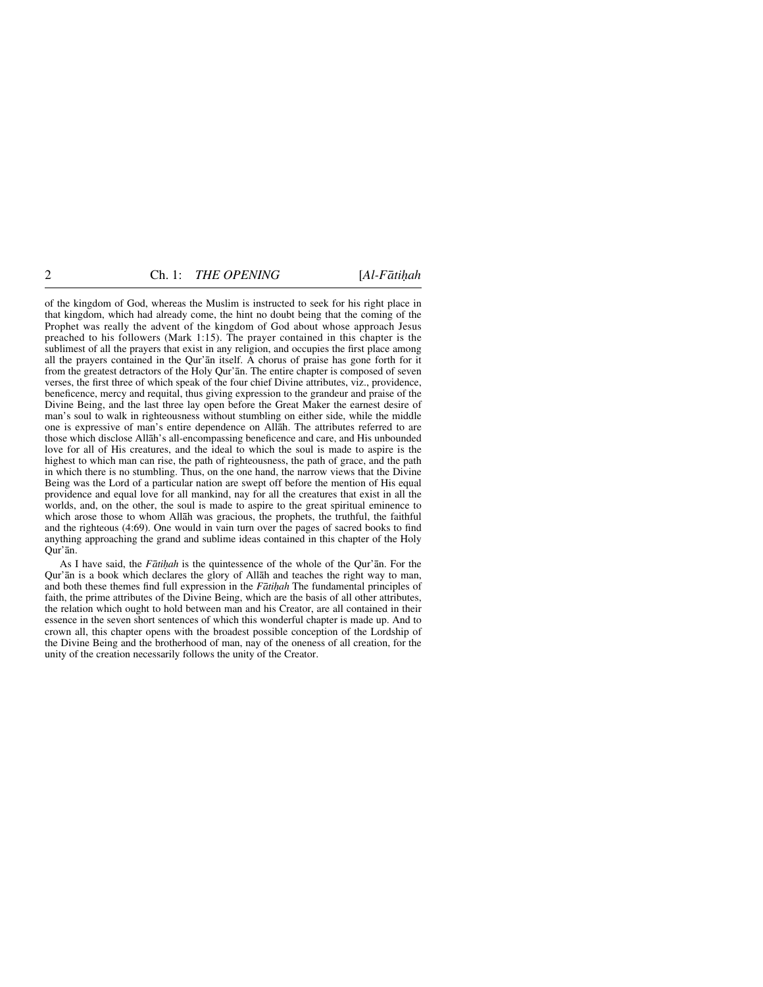of the kingdom of God, whereas the Muslim is instructed to seek for his right place in that kingdom, which had already come, the hint no doubt being that the coming of the Prophet was really the advent of the kingdom of God about whose approach Jesus preached to his followers (Mark 1:15). The prayer contained in this chapter is the sublimest of all the prayers that exist in any religion, and occupies the first place among all the prayers contained in the Qur'ån itself. A chorus of praise has gone forth for it from the greatest detractors of the Holy Qur'ån. The entire chapter is composed of seven verses, the first three of which speak of the four chief Divine attributes, viz., providence, beneficence, mercy and requital, thus giving expression to the grandeur and praise of the Divine Being, and the last three lay open before the Great Maker the earnest desire of man's soul to walk in righteousness without stumbling on either side, while the middle one is expressive of man's entire dependence on Allåh. The attributes referred to are those which disclose Allåh's all-encompassing beneficence and care, and His unbounded love for all of His creatures, and the ideal to which the soul is made to aspire is the highest to which man can rise, the path of righteousness, the path of grace, and the path in which there is no stumbling. Thus, on the one hand, the narrow views that the Divine Being was the Lord of a particular nation are swept off before the mention of His equal providence and equal love for all mankind, nay for all the creatures that exist in all the worlds, and, on the other, the soul is made to aspire to the great spiritual eminence to which arose those to whom Allåh was gracious, the prophets, the truthful, the faithful and the righteous (4:69). One would in vain turn over the pages of sacred books to find anything approaching the grand and sublime ideas contained in this chapter of the Holy Qur'ån.

As I have said, the *Fåti√ah* is the quintessence of the whole of the Qur'ån. For the Qur'ån is a book which declares the glory of Allåh and teaches the right way to man, and both these themes find full expression in the *Fātihah* The fundamental principles of faith, the prime attributes of the Divine Being, which are the basis of all other attributes, the relation which ought to hold between man and his Creator, are all contained in their essence in the seven short sentences of which this wonderful chapter is made up. And to crown all, this chapter opens with the broadest possible conception of the Lordship of the Divine Being and the brotherhood of man, nay of the oneness of all creation, for the unity of the creation necessarily follows the unity of the Creator.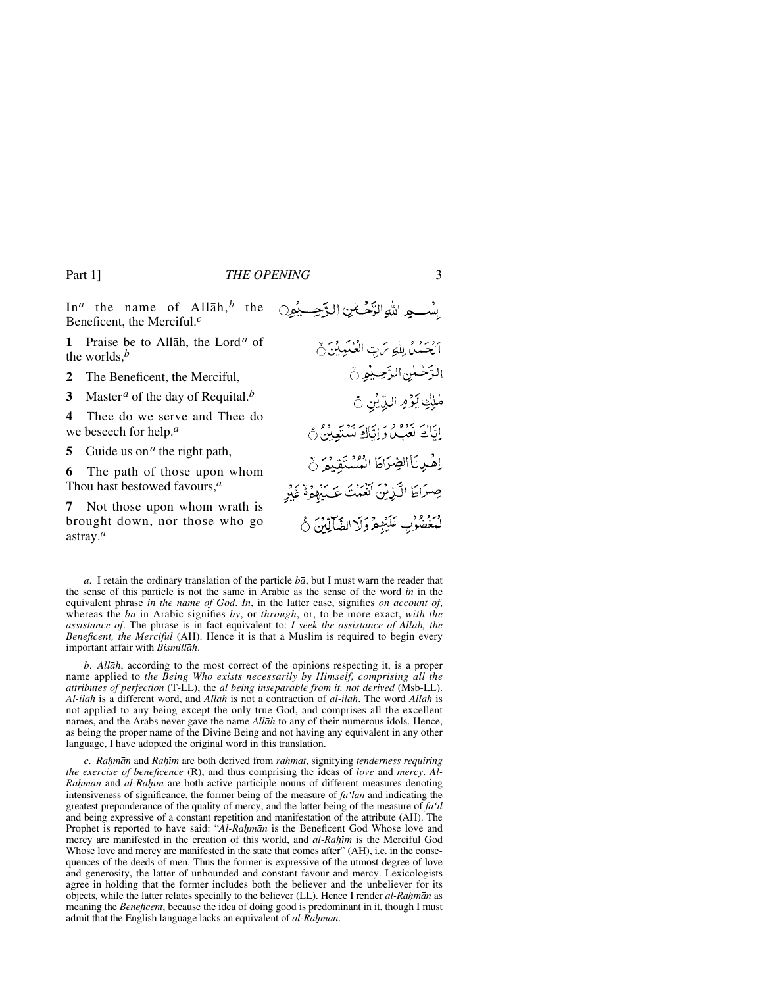|    | In <sup>a</sup> the name of Allah, <sup>b</sup> the<br>Beneficent, the Merciful. $c$ | بِسْسِمِ اللَّهِ الرَّحْسِينِ الرَّحِسِيْمِينِ  |
|----|--------------------------------------------------------------------------------------|-------------------------------------------------|
|    | Praise be to Allah, the Lord <sup>a</sup> of<br>the worlds, $b$                      | الْحَمْلُ لِلَّهِ مَرِبِّ الْعُلَمِيِّنَ حُ     |
| 2  | The Beneficent, the Merciful,                                                        | الزَّخْسٰ الزَّحِيْمِ ۞                         |
|    | 3 Master <sup><i>a</i></sup> of the day of Requital. <sup>b</sup>                    | مْلِكِ يَوْمِ الدِّيْنِ حُ                      |
|    | Thee do we serve and Thee do<br>we be seech for help. <sup><math>a</math></sup>      | إِيَّاكَ نَعْبُكُ دَإِبَّاكَ نَسْتَعِبْنُ حَ    |
| 5. | Guide us on $^a$ the right path,                                                     | إهْدِنَا الصِّرَاطَ الْمُسْتَقِيْمَ نَّ         |
| 6  | The path of those upon whom<br>Thou hast bestowed favours, $^a$                      | صِرَاطَ الَّذِينَ الْعُمْتَ عَبَدَهِمْهُ غَيْرِ |
| 7  | Not those upon whom wrath is<br>brought down, nor those who go<br>astray. $^a$       | نْمَغْضُوْبِ عَلَيْهِمْ وَلَا الصَّالِّيْنَ حَ  |

*a*. I retain the ordinary translation of the particle *bå*, but I must warn the reader that the sense of this particle is not the same in Arabic as the sense of the word *in* in the equivalent phrase *in the name of God*. *In*, in the latter case, signifies *on account of*, whereas the *bå* in Arabic signifies *by*, or *through*, or, to be more exact, *with the assistance of*. The phrase is in fact equivalent to: *I seek the assistance of Allåh, the Beneficent, the Merciful* (AH). Hence it is that a Muslim is required to begin every important affair with *Bismillåh*.

*b*. *Allåh*, according to the most correct of the opinions respecting it, is a proper name applied to *the Being Who exists necessarily by Himself, comprising all the attributes of perfection* (T-LL), the *al being inseparable from it, not derived* (Msb-LL). *Al-ilåh* is a different word, and *Allåh* is not a contraction of *al-ilåh*. The word *Allåh* is not applied to any being except the only true God, and comprises all the excellent names, and the Arabs never gave the name *Allåh* to any of their numerous idols. Hence, as being the proper name of the Divine Being and not having any equivalent in any other language, I have adopted the original word in this translation.

*c*. *Ra√mån* and *Raçm* are both derived from *ra√mat*, signifying *tenderness requiring the exercise of beneficence* (R), and thus comprising the ideas of *love* and *mercy*. *Al-Rahmān* and *al-Rahīm* are both active participle nouns of different measures denoting intensiveness of significance, the former being of the measure of *fa'lån* and indicating the greatest preponderance of the quality of mercy, and the latter being of the measure of *fa'ßl* and being expressive of a constant repetition and manifestation of the attribute (AH). The Prophet is reported to have said: "*Al-Raḥmān* is the Beneficent God Whose love and mercy are manifested in the creation of this world, and *al-Raçm* is the Merciful God Whose love and mercy are manifested in the state that comes after" (AH), i.e. in the consequences of the deeds of men. Thus the former is expressive of the utmost degree of love and generosity, the latter of unbounded and constant favour and mercy. Lexicologists agree in holding that the former includes both the believer and the unbeliever for its objects, while the latter relates specially to the believer (LL). Hence I render *al-Ra√mån* as meaning the *Beneficent*, because the idea of doing good is predominant in it, though I must admit that the English language lacks an equivalent of *al-Rahmān*.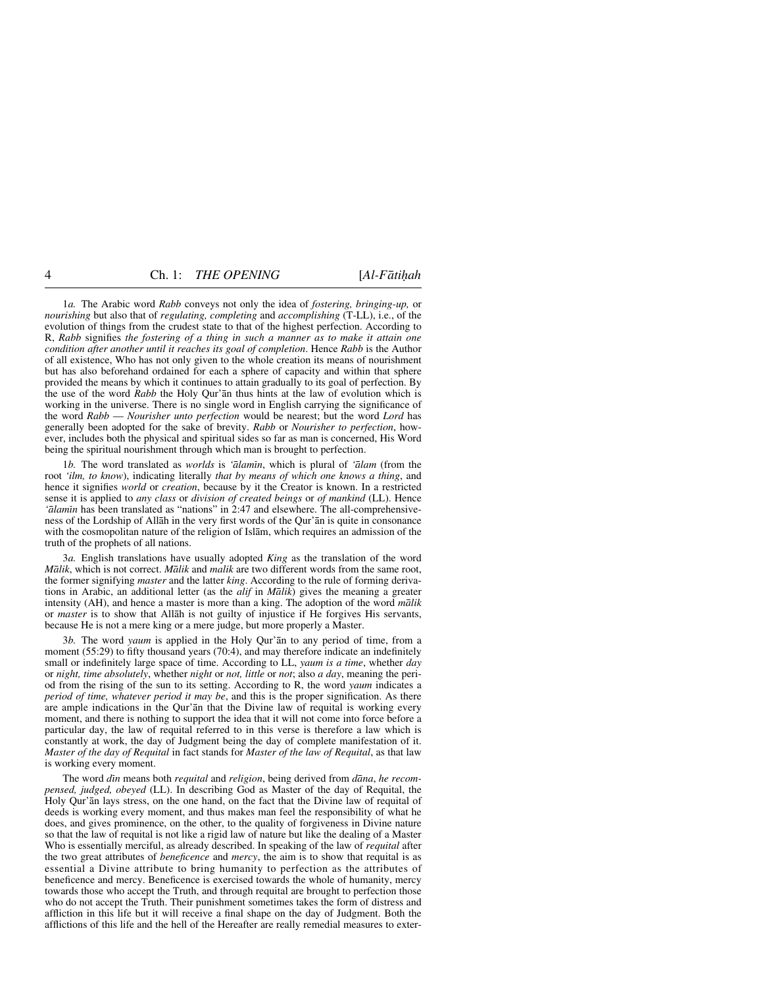1*a.* The Arabic word *Rabb* conveys not only the idea of *fostering, bringing-up,* or *nourishing* but also that of *regulating, completing* and *accomplishing* (T-LL), i.e., of the evolution of things from the crudest state to that of the highest perfection. According to R, *Rabb* signifies *the fostering of a thing in such a manner as to make it attain one condition after another until it reaches its goal of completion*. Hence *Rabb* is the Author of all existence, Who has not only given to the whole creation its means of nourishment but has also beforehand ordained for each a sphere of capacity and within that sphere provided the means by which it continues to attain gradually to its goal of perfection. By the use of the word *Rabb* the Holy Qur'ån thus hints at the law of evolution which is working in the universe. There is no single word in English carrying the significance of the word *Rabb* — *Nourisher unto perfection* would be nearest; but the word *Lord* has generally been adopted for the sake of brevity. *Rabb* or *Nourisher to perfection*, however, includes both the physical and spiritual sides so far as man is concerned, His Word being the spiritual nourishment through which man is brought to perfection.

1*b.* The word translated as *worlds* is *'ålamßn*, which is plural of *'ålam* (from the root *'ilm, to know*), indicating literally *that by means of which one knows a thing*, and hence it signifies *world* or *creation*, because by it the Creator is known. In a restricted sense it is applied to *any class* or *division of created beings* or *of mankind* (LL). Hence '*ālamīn* has been translated as "nations" in 2:47 and elsewhere. The all-comprehensiveness of the Lordship of Allåh in the very first words of the Qur'ån is quite in consonance with the cosmopolitan nature of the religion of Islåm, which requires an admission of the truth of the prophets of all nations.

3*a.* English translations have usually adopted *King* as the translation of the word *Målik*, which is not correct. *Målik* and *malik* are two different words from the same root, the former signifying *master* and the latter *king*. According to the rule of forming derivations in Arabic, an additional letter (as the *alif* in *Målik*) gives the meaning a greater intensity (AH), and hence a master is more than a king. The adoption of the word *målik* or *master* is to show that Allåh is not guilty of injustice if He forgives His servants, because He is not a mere king or a mere judge, but more properly a Master.

3*b.* The word *yaum* is applied in the Holy Qur'ån to any period of time, from a moment (55:29) to fifty thousand years (70:4), and may therefore indicate an indefinitely small or indefinitely large space of time. According to LL, *yaum is a time*, whether *day* or *night, time absolutely*, whether *night* or *not, little* or *not*; also *a day*, meaning the period from the rising of the sun to its setting. According to R, the word *yaum* indicates a *period of time, whatever period it may be*, and this is the proper signification. As there are ample indications in the Qur'ån that the Divine law of requital is working every moment, and there is nothing to support the idea that it will not come into force before a particular day, the law of requital referred to in this verse is therefore a law which is constantly at work, the day of Judgment being the day of complete manifestation of it. *Master of the day of Requital* in fact stands for *Master of the law of Requital*, as that law is working every moment.

The word *din* means both *requital* and *religion*, being derived from *dana*, he recom*pensed, judged, obeyed* (LL). In describing God as Master of the day of Requital, the Holy Qur'ån lays stress, on the one hand, on the fact that the Divine law of requital of deeds is working every moment, and thus makes man feel the responsibility of what he does, and gives prominence, on the other, to the quality of forgiveness in Divine nature so that the law of requital is not like a rigid law of nature but like the dealing of a Master Who is essentially merciful, as already described. In speaking of the law of *requital* after the two great attributes of *beneficence* and *mercy*, the aim is to show that requital is as essential a Divine attribute to bring humanity to perfection as the attributes of beneficence and mercy. Beneficence is exercised towards the whole of humanity, mercy towards those who accept the Truth, and through requital are brought to perfection those who do not accept the Truth. Their punishment sometimes takes the form of distress and affliction in this life but it will receive a final shape on the day of Judgment. Both the afflictions of this life and the hell of the Hereafter are really remedial measures to exter